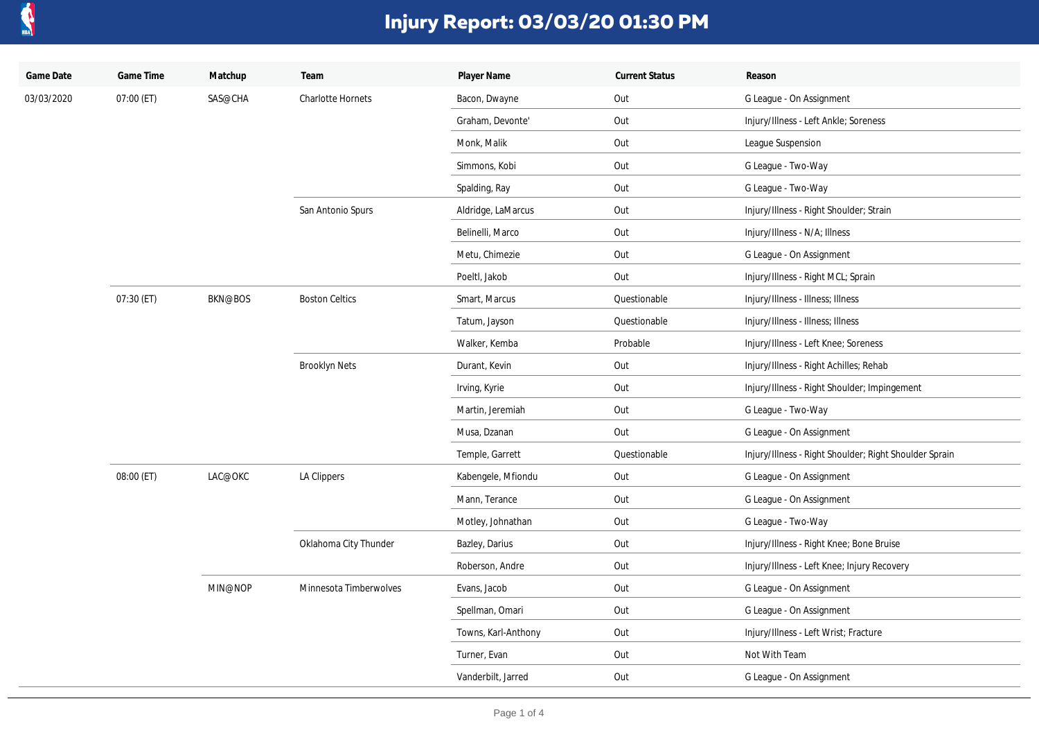

| Game Date  | Game Time  | Matchup        | Team                   | Player Name         | <b>Current Status</b> | Reason                                                 |
|------------|------------|----------------|------------------------|---------------------|-----------------------|--------------------------------------------------------|
| 03/03/2020 | 07:00 (ET) | SAS@CHA        | Charlotte Hornets      | Bacon, Dwayne       | Out                   | G League - On Assignment                               |
|            |            |                |                        | Graham, Devonte'    | Out                   | Injury/Illness - Left Ankle; Soreness                  |
|            |            |                |                        | Monk, Malik         | Out                   | League Suspension                                      |
|            |            |                |                        | Simmons, Kobi       | Out                   | G League - Two-Way                                     |
|            |            |                |                        | Spalding, Ray       | Out                   | G League - Two-Way                                     |
|            |            |                | San Antonio Spurs      | Aldridge, LaMarcus  | Out                   | Injury/Illness - Right Shoulder; Strain                |
|            |            |                |                        | Belinelli, Marco    | Out                   | Injury/Illness - N/A; Illness                          |
|            |            |                |                        | Metu, Chimezie      | Out                   | G League - On Assignment                               |
|            |            |                |                        | Poeltl, Jakob       | Out                   | Injury/Illness - Right MCL; Sprain                     |
|            | 07:30 (ET) | <b>BKN@BOS</b> | <b>Boston Celtics</b>  | Smart, Marcus       | Questionable          | Injury/Illness - Illness; Illness                      |
|            |            |                |                        | Tatum, Jayson       | Questionable          | Injury/Illness - Illness; Illness                      |
|            |            |                |                        | Walker, Kemba       | Probable              | Injury/Illness - Left Knee; Soreness                   |
|            |            |                | <b>Brooklyn Nets</b>   | Durant, Kevin       | Out                   | Injury/Illness - Right Achilles; Rehab                 |
|            |            |                |                        | Irving, Kyrie       | Out                   | Injury/Illness - Right Shoulder; Impingement           |
|            |            |                |                        | Martin, Jeremiah    | Out                   | G League - Two-Way                                     |
|            |            |                |                        | Musa, Dzanan        | Out                   | G League - On Assignment                               |
|            |            |                |                        | Temple, Garrett     | Questionable          | Injury/Illness - Right Shoulder; Right Shoulder Sprain |
|            | 08:00 (ET) | LAC@OKC        | LA Clippers            | Kabengele, Mfiondu  | Out                   | G League - On Assignment                               |
|            |            |                |                        | Mann, Terance       | Out                   | G League - On Assignment                               |
|            |            |                |                        | Motley, Johnathan   | Out                   | G League - Two-Way                                     |
|            |            |                | Oklahoma City Thunder  | Bazley, Darius      | Out                   | Injury/Illness - Right Knee; Bone Bruise               |
|            |            |                |                        | Roberson, Andre     | Out                   | Injury/Illness - Left Knee; Injury Recovery            |
|            |            | MIN@NOP        | Minnesota Timberwolves | Evans, Jacob        | Out                   | G League - On Assignment                               |
|            |            |                |                        | Spellman, Omari     | Out                   | G League - On Assignment                               |
|            |            |                |                        | Towns, Karl-Anthony | Out                   | Injury/Illness - Left Wrist; Fracture                  |
|            |            |                |                        | Turner, Evan        | Out                   | Not With Team                                          |
|            |            |                |                        | Vanderbilt, Jarred  | Out                   | G League - On Assignment                               |
|            |            |                |                        |                     |                       |                                                        |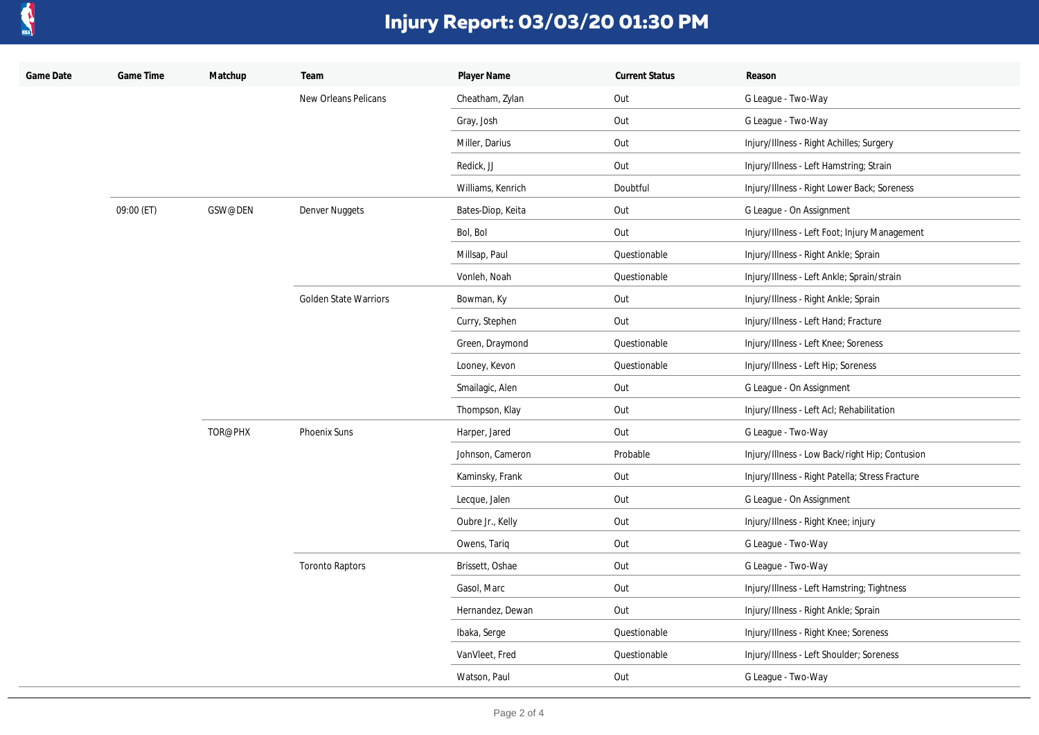

| Game Date | Game Time  | Matchup | Team                         | Player Name       | <b>Current Status</b> | Reason                                          |
|-----------|------------|---------|------------------------------|-------------------|-----------------------|-------------------------------------------------|
|           |            |         | New Orleans Pelicans         | Cheatham, Zylan   | Out                   | G League - Two-Way                              |
|           |            |         |                              | Gray, Josh        | Out                   | G League - Two-Way                              |
|           |            |         |                              | Miller, Darius    | Out                   | Injury/Illness - Right Achilles; Surgery        |
|           |            |         |                              | Redick, JJ        | Out                   | Injury/Illness - Left Hamstring; Strain         |
|           |            |         |                              | Williams, Kenrich | Doubtful              | Injury/Illness - Right Lower Back; Soreness     |
|           | 09:00 (ET) | GSW@DEN | Denver Nuggets               | Bates-Diop, Keita | Out                   | G League - On Assignment                        |
|           |            |         |                              | Bol, Bol          | Out                   | Injury/Illness - Left Foot; Injury Management   |
|           |            |         |                              | Millsap, Paul     | Questionable          | Injury/Illness - Right Ankle; Sprain            |
|           |            |         |                              | Vonleh, Noah      | Questionable          | Injury/Illness - Left Ankle; Sprain/strain      |
|           |            |         | <b>Golden State Warriors</b> | Bowman, Ky        | Out                   | Injury/Illness - Right Ankle; Sprain            |
|           |            |         |                              | Curry, Stephen    | Out                   | Injury/Illness - Left Hand; Fracture            |
|           |            |         |                              | Green, Draymond   | Questionable          | Injury/Illness - Left Knee; Soreness            |
|           |            |         |                              | Looney, Kevon     | Questionable          | Injury/Illness - Left Hip; Soreness             |
|           |            |         |                              | Smailagic, Alen   | Out                   | G League - On Assignment                        |
|           |            |         |                              | Thompson, Klay    | Out                   | Injury/Illness - Left Acl; Rehabilitation       |
|           |            | TOR@PHX | Phoenix Suns                 | Harper, Jared     | Out                   | G League - Two-Way                              |
|           |            |         |                              | Johnson, Cameron  | Probable              | Injury/Illness - Low Back/right Hip; Contusion  |
|           |            |         |                              | Kaminsky, Frank   | Out                   | Injury/Illness - Right Patella; Stress Fracture |
|           |            |         |                              | Lecque, Jalen     | Out                   | G League - On Assignment                        |
|           |            |         |                              | Oubre Jr., Kelly  | Out                   | Injury/Illness - Right Knee; injury             |
|           |            |         |                              | Owens, Tariq      | Out                   | G League - Two-Way                              |
|           |            |         | <b>Toronto Raptors</b>       | Brissett, Oshae   | Out                   | G League - Two-Way                              |
|           |            |         |                              | Gasol, Marc       | Out                   | Injury/Illness - Left Hamstring; Tightness      |
|           |            |         |                              | Hernandez, Dewan  | Out                   | Injury/Illness - Right Ankle; Sprain            |
|           |            |         |                              | Ibaka, Serge      | Questionable          | Injury/Illness - Right Knee; Soreness           |
|           |            |         |                              | VanVleet, Fred    | Questionable          | Injury/Illness - Left Shoulder; Soreness        |
|           |            |         |                              | Watson, Paul      | Out                   | G League - Two-Way                              |
|           |            |         |                              |                   |                       |                                                 |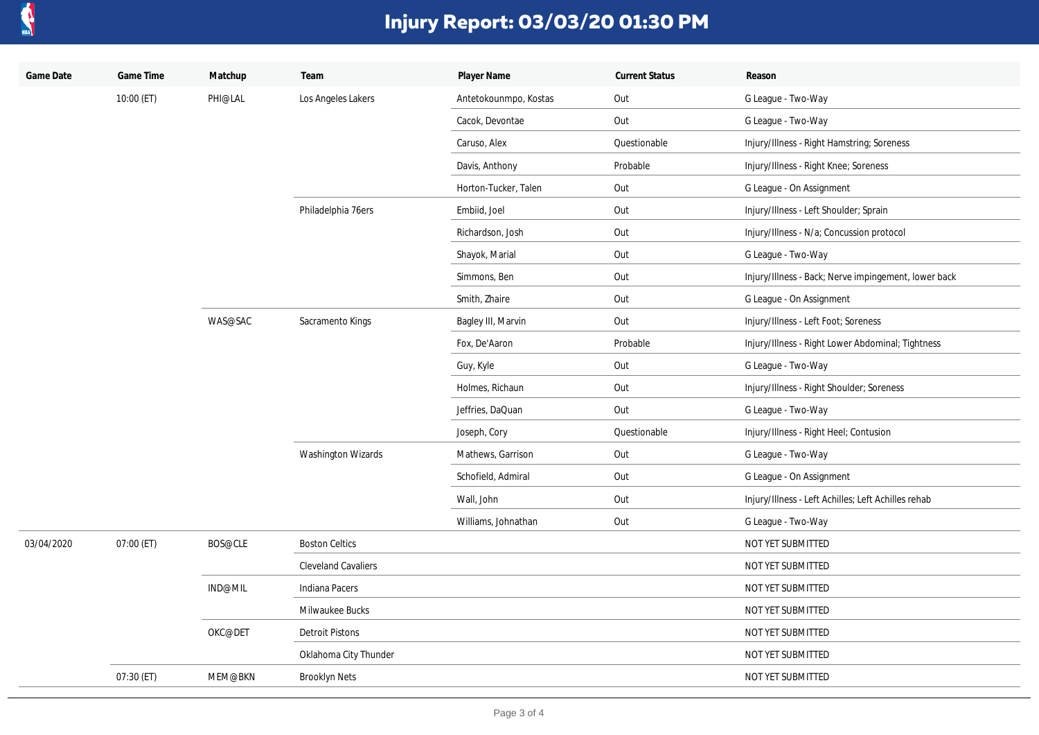

| Player Name<br>Game Date<br>Matchup<br>Reason                                                     |  |
|---------------------------------------------------------------------------------------------------|--|
| 10:00 (ET)<br>PHI@LAL<br>Los Angeles Lakers<br>Antetokounmpo, Kostas<br>Out<br>G League - Two-Way |  |
| Out<br>G League - Two-Way<br>Cacok, Devontae                                                      |  |
| Questionable<br>Caruso, Alex<br>Injury/Illness - Right Hamstring; Soreness                        |  |
| Probable<br>Injury/Illness - Right Knee; Soreness<br>Davis, Anthony                               |  |
| Horton-Tucker, Talen<br>Out<br>G League - On Assignment                                           |  |
| Philadelphia 76ers<br>Out<br>Injury/Illness - Left Shoulder; Sprain<br>Embiid, Joel               |  |
| Out<br>Richardson, Josh<br>Injury/Illness - N/a; Concussion protocol                              |  |
| Out<br>Shayok, Marial<br>G League - Two-Way                                                       |  |
| Simmons, Ben<br>Out<br>Injury/Illness - Back; Nerve impingement, lower back                       |  |
| Smith, Zhaire<br>Out<br>G League - On Assignment                                                  |  |
| WAS@SAC<br>Sacramento Kings<br>Out<br>Injury/Illness - Left Foot; Soreness<br>Bagley III, Marvin  |  |
| Fox, De'Aaron<br>Probable<br>Injury/Illness - Right Lower Abdominal; Tightness                    |  |
| Out<br>Guy, Kyle<br>G League - Two-Way                                                            |  |
| Holmes, Richaun<br>Out<br>Injury/Illness - Right Shoulder; Soreness                               |  |
| Out<br>Jeffries, DaQuan<br>G League - Two-Way                                                     |  |
| Questionable<br>Joseph, Cory<br>Injury/Illness - Right Heel; Contusion                            |  |
| <b>Washington Wizards</b><br>Mathews, Garrison<br>Out<br>G League - Two-Way                       |  |
| Out<br>Schofield, Admiral<br>G League - On Assignment                                             |  |
| Wall, John<br>Out<br>Injury/Illness - Left Achilles; Left Achilles rehab                          |  |
| Williams, Johnathan<br>Out<br>G League - Two-Way                                                  |  |
| 03/04/2020<br>07:00 (ET)<br>BOS@CLE<br><b>Boston Celtics</b><br>NOT YET SUBMITTED                 |  |
| <b>Cleveland Cavaliers</b><br>NOT YET SUBMITTED                                                   |  |
| IND@MIL<br>Indiana Pacers<br>NOT YET SUBMITTED                                                    |  |
| Milwaukee Bucks<br>NOT YET SUBMITTED                                                              |  |
| OKC@DET<br><b>Detroit Pistons</b><br>NOT YET SUBMITTED                                            |  |
| Oklahoma City Thunder<br>NOT YET SUBMITTED                                                        |  |
| 07:30 (ET)<br>MEM@BKN<br><b>Brooklyn Nets</b><br>NOT YET SUBMITTED                                |  |